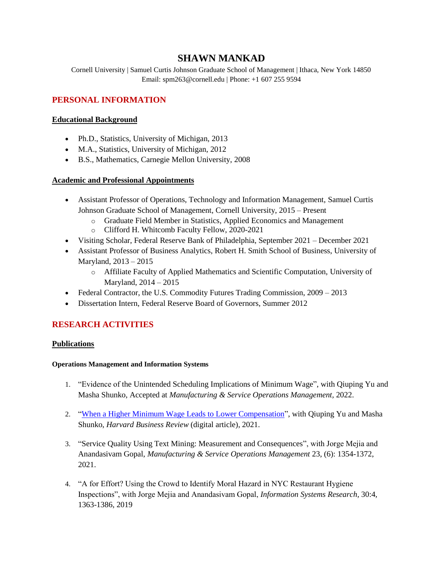# **SHAWN MANKAD**

Cornell University | Samuel Curtis Johnson Graduate School of Management | Ithaca, New York 14850 Email: spm263@cornell.edu | Phone: +1 607 255 9594

# **PERSONAL INFORMATION**

## **Educational Background**

- Ph.D., Statistics, University of Michigan, 2013
- M.A., Statistics, University of Michigan, 2012
- B.S., Mathematics, Carnegie Mellon University, 2008

## **Academic and Professional Appointments**

- Assistant Professor of Operations, Technology and Information Management, Samuel Curtis Johnson Graduate School of Management, Cornell University, 2015 – Present
	- o Graduate Field Member in Statistics, Applied Economics and Management
	- o Clifford H. Whitcomb Faculty Fellow, 2020-2021
- Visiting Scholar, Federal Reserve Bank of Philadelphia, September 2021 December 2021
- Assistant Professor of Business Analytics, Robert H. Smith School of Business, University of Maryland, 2013 – 2015
	- o Affiliate Faculty of Applied Mathematics and Scientific Computation, University of Maryland, 2014 – 2015
- Federal Contractor, the U.S. Commodity Futures Trading Commission, 2009 2013
- Dissertation Intern, Federal Reserve Board of Governors, Summer 2012

## **RESEARCH ACTIVITIES**

#### **Publications**

#### **Operations Management and Information Systems**

- 1. "Evidence of the Unintended Scheduling Implications of Minimum Wage", with Qiuping Yu and Masha Shunko, Accepted at *Manufacturing & Service Operations Management,* 2022.
- 2. ["When a Higher Minimum Wage Leads to Lower Compensation"](https://hbr.org/2021/06/research-when-a-higher-minimum-wage-leads-to-lower-compensation), with Qiuping Yu and Masha Shunko, *Harvard Business Review* (digital article), 2021.
- 3. "Service Quality Using Text Mining: Measurement and Consequences", with Jorge Mejia and Anandasivam Gopal, *Manufacturing & Service Operations Management* 23, (6): 1354-1372, 2021.
- 4. "A for Effort? Using the Crowd to Identify Moral Hazard in NYC Restaurant Hygiene Inspections", with Jorge Mejia and Anandasivam Gopal, *Information Systems Research,* 30:4, 1363-1386, 2019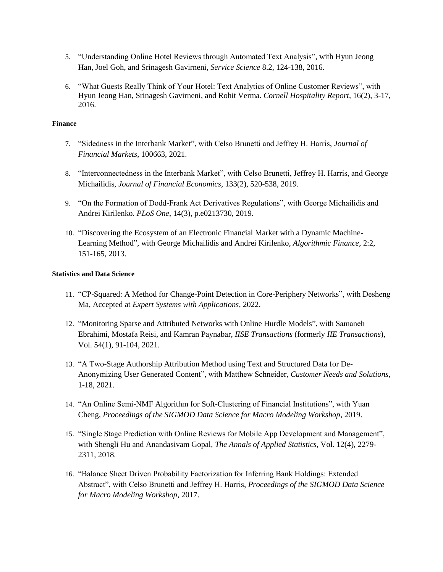- 5. "Understanding Online Hotel Reviews through Automated Text Analysis", with Hyun Jeong Han, Joel Goh, and Srinagesh Gavirneni, *Service Science* 8.2, 124-138, 2016.
- 6. "What Guests Really Think of Your Hotel: Text Analytics of Online Customer Reviews", with Hyun Jeong Han, Srinagesh Gavirneni, and Rohit Verma. *Cornell Hospitality Report*, 16(2), 3-17, 2016.

#### **Finance**

- 7. "Sidedness in the Interbank Market", with Celso Brunetti and Jeffrey H. Harris, *Journal of Financial Markets*, 100663, 2021.
- 8. "Interconnectedness in the Interbank Market", with Celso Brunetti, Jeffrey H. Harris, and George Michailidis, *Journal of Financial Economics,* 133(2), 520-538, 2019.
- 9. "On the Formation of Dodd-Frank Act Derivatives Regulations", with George Michailidis and Andrei Kirilenko. *PLoS One*, 14(3), p.e0213730, 2019.
- 10. "Discovering the Ecosystem of an Electronic Financial Market with a Dynamic Machine-Learning Method", with George Michailidis and Andrei Kirilenko*, Algorithmic Finance*, 2:2, 151-165, 2013.

#### **Statistics and Data Science**

- 11. "CP-Squared: A Method for Change-Point Detection in Core-Periphery Networks", with Desheng Ma, Accepted at *Expert Systems with Applications*, 2022.
- 12. "Monitoring Sparse and Attributed Networks with Online Hurdle Models", with Samaneh Ebrahimi, Mostafa Reisi, and Kamran Paynabar, *IISE Transactions* (formerly *IIE Transactions*), Vol. 54(1), 91-104, 2021.
- 13. "A Two-Stage Authorship Attribution Method using Text and Structured Data for De-Anonymizing User Generated Content", with Matthew Schneider, *Customer Needs and Solutions*, 1-18, 2021.
- 14. "An Online Semi-NMF Algorithm for Soft-Clustering of Financial Institutions", with Yuan Cheng, *Proceedings of the SIGMOD Data Science for Macro Modeling Workshop*, 2019.
- 15. "Single Stage Prediction with Online Reviews for Mobile App Development and Management", with Shengli Hu and Anandasivam Gopal, *The Annals of Applied Statistics*, Vol. 12(4), 2279- 2311, 2018.
- 16. "Balance Sheet Driven Probability Factorization for Inferring Bank Holdings: Extended Abstract", with Celso Brunetti and Jeffrey H. Harris, *Proceedings of the SIGMOD Data Science for Macro Modeling Workshop*, 2017.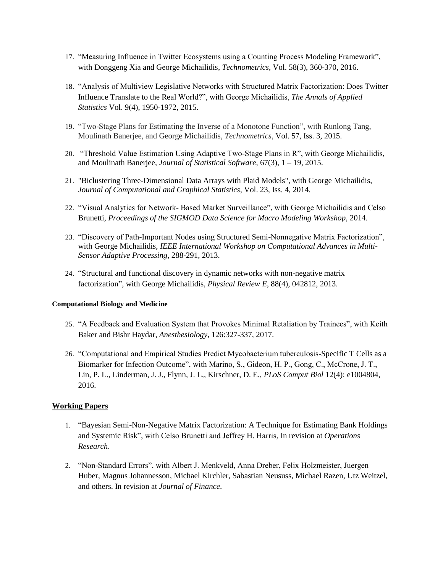- 17. "Measuring Influence in Twitter Ecosystems using a Counting Process Modeling Framework", with Donggeng Xia and George Michailidis*, Technometrics*, Vol. 58(3), 360-370, 2016.
- 18. "Analysis of Multiview Legislative Networks with Structured Matrix Factorization: Does Twitter Influence Translate to the Real World?", with George Michailidis, *The Annals of Applied Statistics* Vol. 9(4), 1950-1972, 2015.
- 19. "Two-Stage Plans for Estimating the Inverse of a Monotone Function", with Runlong Tang, Moulinath Banerjee, and George Michailidis, *Technometrics*, Vol. 57, Iss. 3, 2015.
- 20. "Threshold Value Estimation Using Adaptive Two-Stage Plans in R", with George Michailidis, and Moulinath Banerjee, *Journal of Statistical Software*, 67(3), 1 – 19, 2015.
- 21. "Biclustering Three-Dimensional Data Arrays with Plaid Models", with George Michailidis, *Journal of Computational and Graphical Statistics*, Vol. 23, Iss. 4, 2014.
- 22. "Visual Analytics for Network- Based Market Surveillance", with George Michailidis and Celso Brunetti, *Proceedings of the SIGMOD Data Science for Macro Modeling Workshop*, 2014.
- 23. "Discovery of Path-Important Nodes using Structured Semi-Nonnegative Matrix Factorization", with George Michailidis, *IEEE International Workshop on Computational Advances in Multi-Sensor Adaptive Processing*, 288-291, 2013.
- 24. "Structural and functional discovery in dynamic networks with non-negative matrix factorization", with George Michailidis*, Physical Review E*, 88(4), 042812, 2013.

#### **Computational Biology and Medicine**

- 25. "A Feedback and Evaluation System that Provokes Minimal Retaliation by Trainees", with Keith Baker and Bishr Haydar, *Anesthesiology*, 126:327-337, 2017.
- 26. "Computational and Empirical Studies Predict Mycobacterium tuberculosis-Specific T Cells as a Biomarker for Infection Outcome", with Marino, S., Gideon, H. P., Gong, C., McCrone, J. T., Lin, P. L., Linderman, J. J., Flynn, J. L,, Kirschner, D. E., *PLoS Comput Biol* 12(4): e1004804, 2016.

#### **Working Papers**

- 1. "Bayesian Semi-Non-Negative Matrix Factorization: A Technique for Estimating Bank Holdings and Systemic Risk", with Celso Brunetti and Jeffrey H. Harris, In revision at *Operations Research*.
- 2. "Non-Standard Errors", with Albert J. Menkveld, Anna Dreber, Felix Holzmeister, Juergen Huber, Magnus Johannesson, Michael Kirchler, Sabastian Neususs, Michael Razen, Utz Weitzel, and others. In revision at *Journal of Finance*.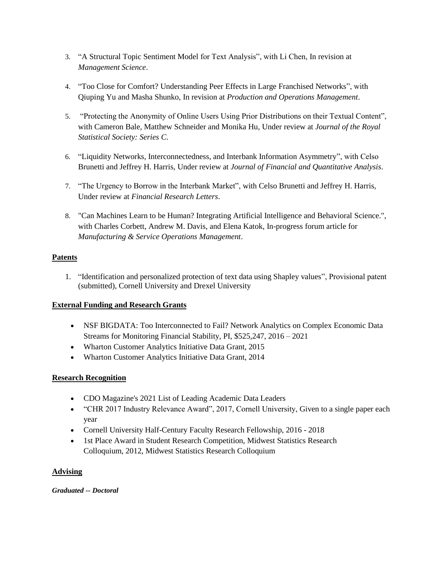- 3. "A Structural Topic Sentiment Model for Text Analysis", with Li Chen, In revision at *Management Science*.
- 4. "Too Close for Comfort? Understanding Peer Effects in Large Franchised Networks", with Qiuping Yu and Masha Shunko, In revision at *Production and Operations Management*.
- 5. "Protecting the Anonymity of Online Users Using Prior Distributions on their Textual Content", with Cameron Bale, Matthew Schneider and Monika Hu, Under review at *Journal of the Royal Statistical Society: Series C*.
- 6. "Liquidity Networks, Interconnectedness, and Interbank Information Asymmetry", with Celso Brunetti and Jeffrey H. Harris, Under review at *Journal of Financial and Quantitative Analysis*.
- 7. "The Urgency to Borrow in the Interbank Market", with Celso Brunetti and Jeffrey H. Harris, Under review at *Financial Research Letters*.
- 8. "Can Machines Learn to be Human? Integrating Artificial Intelligence and Behavioral Science.", with Charles Corbett, Andrew M. Davis, and Elena Katok, In-progress forum article for *Manufacturing & Service Operations Management*.

## **Patents**

1. "Identification and personalized protection of text data using Shapley values", Provisional patent (submitted), Cornell University and Drexel University

## **External Funding and Research Grants**

- NSF BIGDATA: Too Interconnected to Fail? Network Analytics on Complex Economic Data Streams for Monitoring Financial Stability, PI, \$525,247, 2016 – 2021
- Wharton Customer Analytics Initiative Data Grant, 2015
- Wharton Customer Analytics Initiative Data Grant, 2014

## **Research Recognition**

- CDO Magazine's 2021 List of Leading Academic Data Leaders
- "CHR 2017 Industry Relevance Award", 2017, Cornell University, Given to a single paper each year
- Cornell University Half-Century Faculty Research Fellowship, 2016 2018
- 1st Place Award in Student Research Competition, Midwest Statistics Research Colloquium, 2012, Midwest Statistics Research Colloquium

## **Advising**

*Graduated -- Doctoral*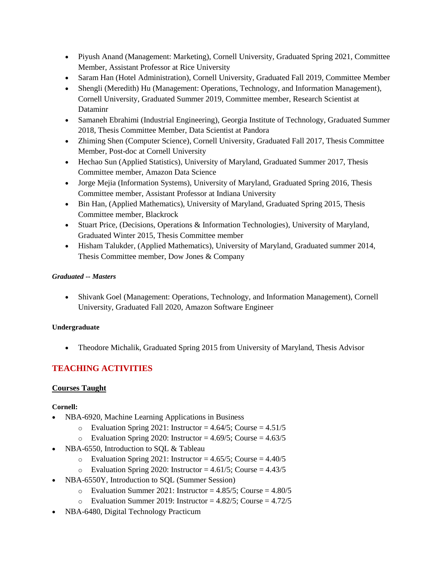- Piyush Anand (Management: Marketing), Cornell University, Graduated Spring 2021, Committee Member, Assistant Professor at Rice University
- Saram Han (Hotel Administration), Cornell University, Graduated Fall 2019, Committee Member
- Shengli (Meredith) Hu (Management: Operations, Technology, and Information Management), Cornell University, Graduated Summer 2019, Committee member, Research Scientist at Dataminr
- Samaneh Ebrahimi (Industrial Engineering), Georgia Institute of Technology, Graduated Summer 2018, Thesis Committee Member, Data Scientist at Pandora
- Zhiming Shen (Computer Science), Cornell University, Graduated Fall 2017, Thesis Committee Member, Post-doc at Cornell University
- Hechao Sun (Applied Statistics), University of Maryland, Graduated Summer 2017, Thesis Committee member, Amazon Data Science
- Jorge Mejia (Information Systems), University of Maryland, Graduated Spring 2016, Thesis Committee member, Assistant Professor at Indiana University
- Bin Han, (Applied Mathematics), University of Maryland, Graduated Spring 2015, Thesis Committee member, Blackrock
- Stuart Price, (Decisions, Operations & Information Technologies), University of Maryland, Graduated Winter 2015, Thesis Committee member
- Hisham Talukder, (Applied Mathematics), University of Maryland, Graduated summer 2014, Thesis Committee member, Dow Jones & Company

#### *Graduated -- Masters*

• Shivank Goel (Management: Operations, Technology, and Information Management), Cornell University, Graduated Fall 2020, Amazon Software Engineer

#### **Undergraduate**

• Theodore Michalik, Graduated Spring 2015 from University of Maryland, Thesis Advisor

# **TEACHING ACTIVITIES**

## **Courses Taught**

## **Cornell:**

- NBA-6920, Machine Learning Applications in Business
	- o Evaluation Spring 2021: Instructor =  $4.64/5$ ; Course =  $4.51/5$
	- o Evaluation Spring 2020: Instructor =  $4.69/5$ ; Course =  $4.63/5$
- NBA-6550, Introduction to SQL & Tableau
	- $\degree$  Evaluation Spring 2021: Instructor = 4.65/5; Course = 4.40/5
	- o Evaluation Spring 2020: Instructor =  $4.61/5$ ; Course =  $4.43/5$
- NBA-6550Y, Introduction to SQL (Summer Session)
	- $\degree$  Evaluation Summer 2021: Instructor = 4.85/5; Course = 4.80/5
	- $\circ$  Evaluation Summer 2019: Instructor = 4.82/5; Course = 4.72/5
- NBA-6480, Digital Technology Practicum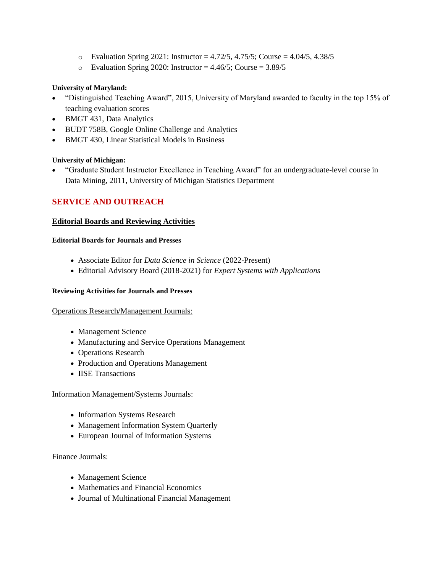- $\circ$  Evaluation Spring 2021: Instructor = 4.72/5, 4.75/5; Course = 4.04/5, 4.38/5
- $\degree$  Evaluation Spring 2020: Instructor = 4.46/5; Course = 3.89/5

#### **University of Maryland:**

- "Distinguished Teaching Award", 2015, University of Maryland awarded to faculty in the top 15% of teaching evaluation scores
- BMGT 431, Data Analytics
- BUDT 758B, Google Online Challenge and Analytics
- BMGT 430, Linear Statistical Models in Business

#### **University of Michigan:**

• "Graduate Student Instructor Excellence in Teaching Award" for an undergraduate-level course in Data Mining, 2011, University of Michigan Statistics Department

## **SERVICE AND OUTREACH**

#### **Editorial Boards and Reviewing Activities**

#### **Editorial Boards for Journals and Presses**

- Associate Editor for *Data Science in Science* (2022-Present)
- Editorial Advisory Board (2018-2021) for *Expert Systems with Applications*

#### **Reviewing Activities for Journals and Presses**

#### Operations Research/Management Journals:

- Management Science
- Manufacturing and Service Operations Management
- Operations Research
- Production and Operations Management
- **IISE Transactions**

#### Information Management/Systems Journals:

- Information Systems Research
- Management Information System Quarterly
- European Journal of Information Systems

#### Finance Journals:

- Management Science
- Mathematics and Financial Economics
- Journal of Multinational Financial Management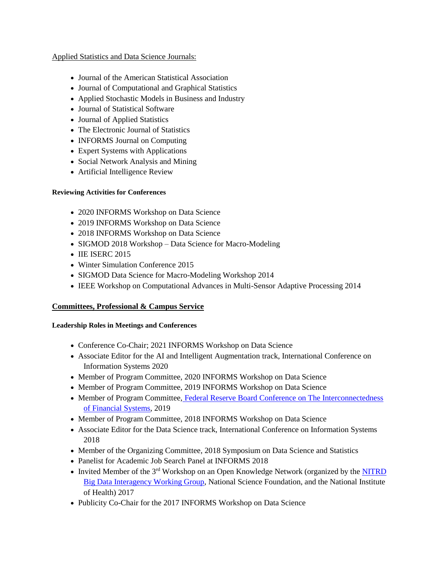#### Applied Statistics and Data Science Journals:

- Journal of the American Statistical Association
- Journal of Computational and Graphical Statistics
- Applied Stochastic Models in Business and Industry
- Journal of Statistical Software
- Journal of Applied Statistics
- The Electronic Journal of Statistics
- **INFORMS** Journal on Computing
- Expert Systems with Applications
- Social Network Analysis and Mining
- Artificial Intelligence Review

#### **Reviewing Activities for Conferences**

- 2020 INFORMS Workshop on Data Science
- 2019 INFORMS Workshop on Data Science
- 2018 INFORMS Workshop on Data Science
- SIGMOD 2018 Workshop Data Science for Macro-Modeling
- **IIE ISERC 2015**
- Winter Simulation Conference 2015
- SIGMOD Data Science for Macro-Modeling Workshop 2014
- IEEE Workshop on Computational Advances in Multi-Sensor Adaptive Processing 2014

## **Committees, Professional & Campus Service**

#### **Leadership Roles in Meetings and Conferences**

- Conference Co-Chair; 2021 INFORMS Workshop on Data Science
- Associate Editor for the AI and Intelligent Augmentation track, International Conference on Information Systems 2020
- Member of Program Committee, 2020 INFORMS Workshop on Data Science
- Member of Program Committee, 2019 INFORMS Workshop on Data Science
- Member of Program Committee, Federal Reserve Board Conference on The Interconnectedness [of Financial Systems,](https://www.federalreserve.gov/conferences/interconnectedness-of-financial-systems.htm) 2019
- Member of Program Committee, 2018 INFORMS Workshop on Data Science
- Associate Editor for the Data Science track, International Conference on Information Systems 2018
- Member of the Organizing Committee, 2018 Symposium on Data Science and Statistics
- Panelist for Academic Job Search Panel at INFORMS 2018
- Invited Member of the 3<sup>rd</sup> Workshop on an Open Knowledge Network (organized by the **NITRD** [Big Data Interagency Working Group,](https://www.google.com/url?q=https%3A%2F%2Fwww.nitrd.gov%2Fnitrdgroups%2Findex.php%3Ftitle%3DBig_Data&sa=D&sntz=1&usg=AFQjCNHsZRpuADMVrt3f7OPKsnV47NfAvw) National Science Foundation, and the National Institute of Health) 2017
- Publicity Co-Chair for the 2017 INFORMS Workshop on Data Science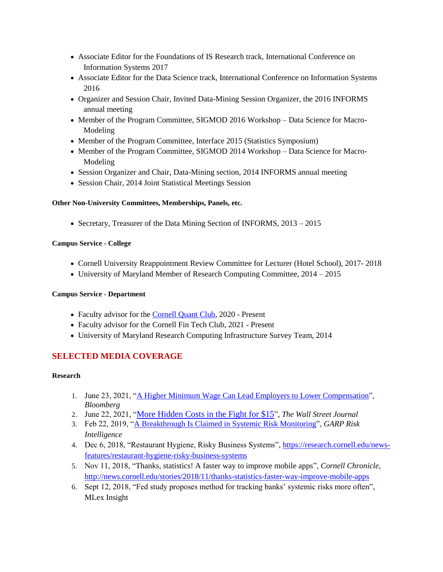- Associate Editor for the Foundations of IS Research track, International Conference on Information Systems 2017
- Associate Editor for the Data Science track, International Conference on Information Systems 2016
- Organizer and Session Chair, Invited Data-Mining Session Organizer, the 2016 INFORMS annual meeting
- Member of the Program Committee, SIGMOD 2016 Workshop Data Science for Macro-Modeling
- Member of the Program Committee, Interface 2015 (Statistics Symposium)
- Member of the Program Committee, SIGMOD 2014 Workshop Data Science for Macro-Modeling
- Session Organizer and Chair, Data-Mining section, 2014 INFORMS annual meeting
- Session Chair, 2014 Joint Statistical Meetings Session

#### **Other Non-University Committees, Memberships, Panels, etc.**

• Secretary, Treasurer of the Data Mining Section of INFORMS, 2013 – 2015

#### **Campus Service - College**

- Cornell University Reappointment Review Committee for Lecturer (Hotel School), 2017- 2018
- University of Maryland Member of Research Computing Committee, 2014 2015

#### **Campus Service - Department**

- Faculty advisor for the [Cornell Quant Club,](http://www.cornellquant.com/) 2020 Present
- Faculty advisor for the Cornell Fin Tech Club, 2021 Present
- University of Maryland Research Computing Infrastructure Survey Team, 2014

## **SELECTED MEDIA COVERAGE**

#### **Research**

- 1. June 23, 2021, ["A Higher Minimum Wage Can Lead Employers to Lower Compensation"](https://www.bloomberg.com/news/articles/2021-06-23/a-higher-minimum-wage-can-lead-employers-to-lower-compensation), *Bloomberg*
- 2. June 22, 2021, "[More Hidden Costs in the Fight for \\$15](https://www.wsj.com/articles/more-hidden-costs-in-the-fight-for-15-11624401328)", *The Wall Street Journal*
- 3. Feb 22, 2019, ["A Breakthrough Is Claimed in Systemic Risk Monitoring"](https://www.garp.org/#!/risk-intelligence/technology/quant-methods/a1Z1W000004nxXBUAY), *GARP Risk Intelligence*
- 4. Dec 6, 2018, "Restaurant Hygiene, Risky Business Systems"[, https://research.cornell.edu/news](https://research.cornell.edu/news-features/restaurant-hygiene-risky-business-systems)[features/restaurant-hygiene-risky-business-systems](https://research.cornell.edu/news-features/restaurant-hygiene-risky-business-systems)
- 5. Nov 11, 2018, "Thanks, statistics! A faster way to improve mobile apps", *Cornell Chronicle*, <http://news.cornell.edu/stories/2018/11/thanks-statistics-faster-way-improve-mobile-apps>
- 6. Sept 12, 2018, "Fed study proposes method for tracking banks' systemic risks more often", MLex Insight